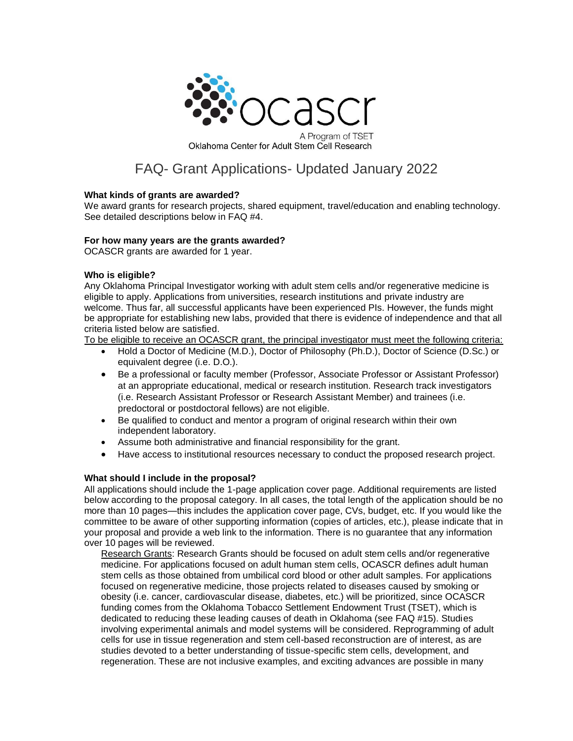

# FAQ- Grant Applications- Updated January 2022

## **What kinds of grants are awarded?**

We award grants for research projects, shared equipment, travel/education and enabling technology. See detailed descriptions below in FAQ #4.

## **For how many years are the grants awarded?**

OCASCR grants are awarded for 1 year.

# **Who is eligible?**

Any Oklahoma Principal Investigator working with adult stem cells and/or regenerative medicine is eligible to apply. Applications from universities, research institutions and private industry are welcome. Thus far, all successful applicants have been experienced PIs. However, the funds might be appropriate for establishing new labs, provided that there is evidence of independence and that all criteria listed below are satisfied.

To be eligible to receive an OCASCR grant, the principal investigator must meet the following criteria:

- Hold a Doctor of Medicine (M.D.), Doctor of Philosophy (Ph.D.), Doctor of Science (D.Sc.) or equivalent degree (i.e. D.O.).
- Be a professional or faculty member (Professor, Associate Professor or Assistant Professor) at an appropriate educational, medical or research institution. Research track investigators (i.e. Research Assistant Professor or Research Assistant Member) and trainees (i.e. predoctoral or postdoctoral fellows) are not eligible.
- Be qualified to conduct and mentor a program of original research within their own independent laboratory.
- Assume both administrative and financial responsibility for the grant.
- Have access to institutional resources necessary to conduct the proposed research project.

# **What should I include in the proposal?**

All applications should include the 1-page application cover page. Additional requirements are listed below according to the proposal category. In all cases, the total length of the application should be no more than 10 pages—this includes the application cover page, CVs, budget, etc. If you would like the committee to be aware of other supporting information (copies of articles, etc.), please indicate that in your proposal and provide a web link to the information. There is no guarantee that any information over 10 pages will be reviewed.

Research Grants: Research Grants should be focused on adult stem cells and/or regenerative medicine. For applications focused on adult human stem cells, OCASCR defines adult human stem cells as those obtained from umbilical cord blood or other adult samples. For applications focused on regenerative medicine, those projects related to diseases caused by smoking or obesity (i.e. cancer, cardiovascular disease, diabetes, etc.) will be prioritized, since OCASCR funding comes from the Oklahoma Tobacco Settlement Endowment Trust (TSET), which is dedicated to reducing these leading causes of death in Oklahoma (see FAQ #15). Studies involving experimental animals and model systems will be considered. Reprogramming of adult cells for use in tissue regeneration and stem cell-based reconstruction are of interest, as are studies devoted to a better understanding of tissue-specific stem cells, development, and regeneration. These are not inclusive examples, and exciting advances are possible in many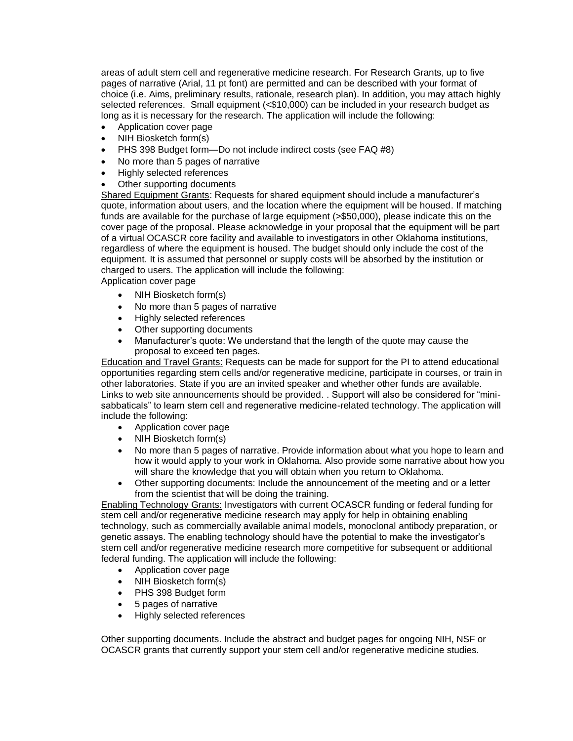areas of adult stem cell and regenerative medicine research. For Research Grants, up to five pages of narrative (Arial, 11 pt font) are permitted and can be described with your format of choice (i.e. Aims, preliminary results, rationale, research plan). In addition, you may attach highly selected references. Small equipment (<\$10,000) can be included in your research budget as long as it is necessary for the research. The application will include the following:

- Application cover page
- NIH Biosketch form(s)
- PHS 398 Budget form—Do not include indirect costs (see FAQ #8)
- No more than 5 pages of narrative
- Highly selected references
- Other supporting documents

Shared Equipment Grants: Requests for shared equipment should include a manufacturer's quote, information about users, and the location where the equipment will be housed. If matching funds are available for the purchase of large equipment (>\$50,000), please indicate this on the cover page of the proposal. Please acknowledge in your proposal that the equipment will be part of a virtual OCASCR core facility and available to investigators in other Oklahoma institutions, regardless of where the equipment is housed. The budget should only include the cost of the equipment. It is assumed that personnel or supply costs will be absorbed by the institution or charged to users. The application will include the following: Application cover page

- NIH Biosketch form(s)
- No more than 5 pages of narrative
- Highly selected references
- Other supporting documents
- Manufacturer's quote: We understand that the length of the quote may cause the proposal to exceed ten pages.

Education and Travel Grants: Requests can be made for support for the PI to attend educational opportunities regarding stem cells and/or regenerative medicine, participate in courses, or train in other laboratories. State if you are an invited speaker and whether other funds are available. Links to web site announcements should be provided. . Support will also be considered for "minisabbaticals" to learn stem cell and regenerative medicine-related technology. The application will include the following:

- Application cover page
- NIH Biosketch form(s)
- No more than 5 pages of narrative. Provide information about what you hope to learn and how it would apply to your work in Oklahoma. Also provide some narrative about how you will share the knowledge that you will obtain when you return to Oklahoma.
- Other supporting documents: Include the announcement of the meeting and or a letter from the scientist that will be doing the training.

Enabling Technology Grants: Investigators with current OCASCR funding or federal funding for stem cell and/or regenerative medicine research may apply for help in obtaining enabling technology, such as commercially available animal models, monoclonal antibody preparation, or genetic assays. The enabling technology should have the potential to make the investigator's stem cell and/or regenerative medicine research more competitive for subsequent or additional federal funding. The application will include the following:

- Application cover page
- NIH Biosketch form(s)
- PHS 398 Budget form
- 5 pages of narrative
- Highly selected references

Other supporting documents. Include the abstract and budget pages for ongoing NIH, NSF or OCASCR grants that currently support your stem cell and/or regenerative medicine studies.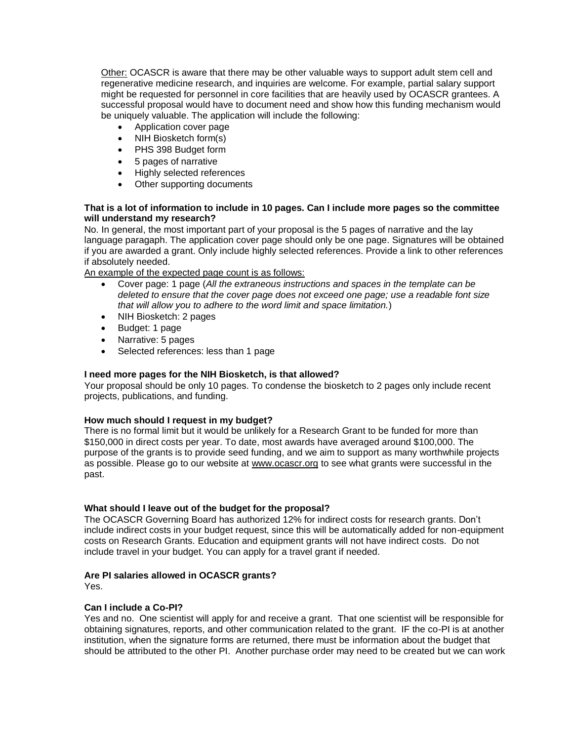Other: OCASCR is aware that there may be other valuable ways to support adult stem cell and regenerative medicine research, and inquiries are welcome. For example, partial salary support might be requested for personnel in core facilities that are heavily used by OCASCR grantees. A successful proposal would have to document need and show how this funding mechanism would be uniquely valuable. The application will include the following:

- Application cover page
- NIH Biosketch form(s)
- PHS 398 Budget form
- 5 pages of narrative
- Highly selected references
- Other supporting documents

# **That is a lot of information to include in 10 pages. Can I include more pages so the committee will understand my research?**

No. In general, the most important part of your proposal is the 5 pages of narrative and the lay language paragaph. The application cover page should only be one page. Signatures will be obtained if you are awarded a grant. Only include highly selected references. Provide a link to other references if absolutely needed.

An example of the expected page count is as follows:

- Cover page: 1 page (*All the extraneous instructions and spaces in the template can be deleted to ensure that the cover page does not exceed one page; use a readable font size that will allow you to adhere to the word limit and space limitation.*)
- NIH Biosketch: 2 pages
- Budget: 1 page
- Narrative: 5 pages
- Selected references: less than 1 page

# **I need more pages for the NIH Biosketch, is that allowed?**

Your proposal should be only 10 pages. To condense the biosketch to 2 pages only include recent projects, publications, and funding.

# **How much should I request in my budget?**

There is no formal limit but it would be unlikely for a Research Grant to be funded for more than \$150,000 in direct costs per year. To date, most awards have averaged around \$100,000. The purpose of the grants is to provide seed funding, and we aim to support as many worthwhile projects as possible. Please go to our website at [www.ocascr.org](http://www.ocascr.org/) to see what grants were successful in the past.

# **What should I leave out of the budget for the proposal?**

The OCASCR Governing Board has authorized 12% for indirect costs for research grants. Don't include indirect costs in your budget request, since this will be automatically added for non-equipment costs on Research Grants. Education and equipment grants will not have indirect costs. Do not include travel in your budget. You can apply for a travel grant if needed.

# **Are PI salaries allowed in OCASCR grants?**

Yes.

# **Can I include a Co-PI?**

Yes and no. One scientist will apply for and receive a grant. That one scientist will be responsible for obtaining signatures, reports, and other communication related to the grant. IF the co-PI is at another institution, when the signature forms are returned, there must be information about the budget that should be attributed to the other PI. Another purchase order may need to be created but we can work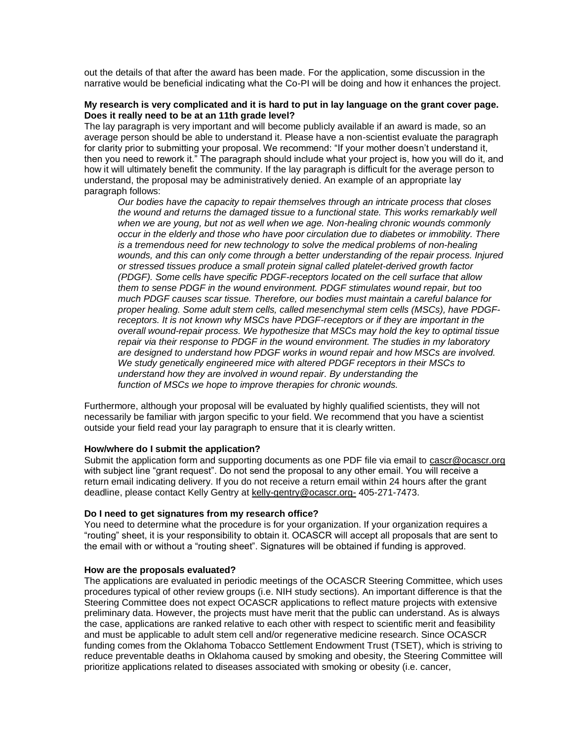out the details of that after the award has been made. For the application, some discussion in the narrative would be beneficial indicating what the Co-PI will be doing and how it enhances the project.

### **My research is very complicated and it is hard to put in lay language on the grant cover page. Does it really need to be at an 11th grade level?**

The lay paragraph is very important and will become publicly available if an award is made, so an average person should be able to understand it. Please have a non-scientist evaluate the paragraph for clarity prior to submitting your proposal. We recommend: "If your mother doesn't understand it, then you need to rework it." The paragraph should include what your project is, how you will do it, and how it will ultimately benefit the community. If the lay paragraph is difficult for the average person to understand, the proposal may be administratively denied. An example of an appropriate lay paragraph follows:

*Our bodies have the capacity to repair themselves through an intricate process that closes the wound and returns the damaged tissue to a functional state. This works remarkably well when we are young, but not as well when we age. Non-healing chronic wounds commonly occur in the elderly and those who have poor circulation due to diabetes or immobility. There is a tremendous need for new technology to solve the medical problems of non-healing wounds, and this can only come through a better understanding of the repair process. Injured or stressed tissues produce a small protein signal called platelet-derived growth factor (PDGF). Some cells have specific PDGF-receptors located on the cell surface that allow them to sense PDGF in the wound environment. PDGF stimulates wound repair, but too much PDGF causes scar tissue. Therefore, our bodies must maintain a careful balance for proper healing. Some adult stem cells, called mesenchymal stem cells (MSCs), have PDGFreceptors. It is not known why MSCs have PDGF-receptors or if they are important in the overall wound-repair process. We hypothesize that MSCs may hold the key to optimal tissue repair via their response to PDGF in the wound environment. The studies in my laboratory are designed to understand how PDGF works in wound repair and how MSCs are involved. We study genetically engineered mice with altered PDGF receptors in their MSCs to understand how they are involved in wound repair. By understanding the function of MSCs we hope to improve therapies for chronic wounds.*

Furthermore, although your proposal will be evaluated by highly qualified scientists, they will not necessarily be familiar with jargon specific to your field. We recommend that you have a scientist outside your field read your lay paragraph to ensure that it is clearly written.

#### **How/where do I submit the application?**

Submit the application form and supporting documents as one PDF file via email to [cascr@ocascr.org](mailto:cascr@ocascr.org) with subject line "grant request". Do not send the proposal to any other email. You will receive a return email indicating delivery. If you do not receive a return email within 24 hours after the grant deadline, please contact Kelly Gentry at [kelly-gentry@ocascr.org-](mailto:kelly-gentry@ocascr.org-) 405-271-7473.

## **Do I need to get signatures from my research office?**

You need to determine what the procedure is for your organization. If your organization requires a "routing" sheet, it is your responsibility to obtain it. OCASCR will accept all proposals that are sent to the email with or without a "routing sheet". Signatures will be obtained if funding is approved.

#### **How are the proposals evaluated?**

The applications are evaluated in periodic meetings of the OCASCR Steering Committee, which uses procedures typical of other review groups (i.e. NIH study sections). An important difference is that the Steering Committee does not expect OCASCR applications to reflect mature projects with extensive preliminary data. However, the projects must have merit that the public can understand. As is always the case, applications are ranked relative to each other with respect to scientific merit and feasibility and must be applicable to adult stem cell and/or regenerative medicine research. Since OCASCR funding comes from the Oklahoma Tobacco Settlement Endowment Trust (TSET), which is striving to reduce preventable deaths in Oklahoma caused by smoking and obesity, the Steering Committee will prioritize applications related to diseases associated with smoking or obesity (i.e. cancer,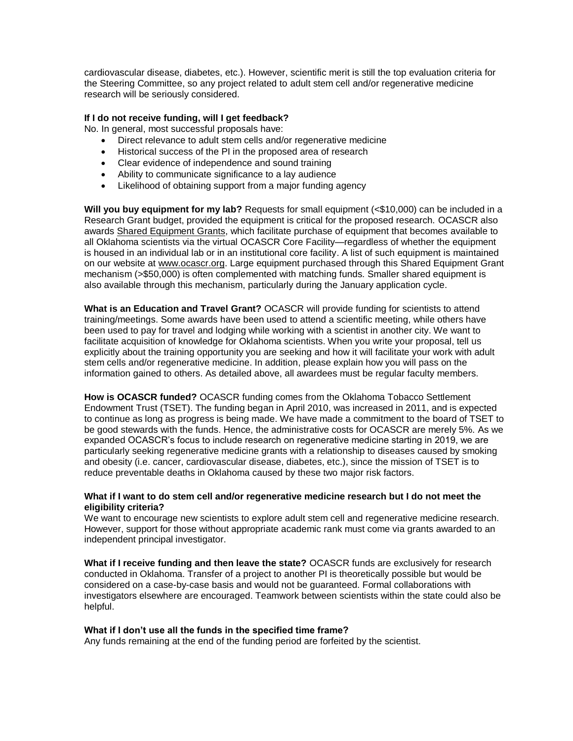cardiovascular disease, diabetes, etc.). However, scientific merit is still the top evaluation criteria for the Steering Committee, so any project related to adult stem cell and/or regenerative medicine research will be seriously considered.

## **If I do not receive funding, will I get feedback?**

No. In general, most successful proposals have:

- Direct relevance to adult stem cells and/or regenerative medicine
- Historical success of the PI in the proposed area of research
- Clear evidence of independence and sound training
- Ability to communicate significance to a lay audience
- Likelihood of obtaining support from a major funding agency

**Will you buy equipment for my lab?** Requests for small equipment (<\$10,000) can be included in a Research Grant budget, provided the equipment is critical for the proposed research. OCASCR also awards Shared Equipment Grants, which facilitate purchase of equipment that becomes available to all Oklahoma scientists via the virtual OCASCR Core Facility—regardless of whether the equipment is housed in an individual lab or in an institutional core facility. A list of such equipment is maintained on our website at [www.ocascr.org.](http://www.ocascr.org/) Large equipment purchased through this Shared Equipment Grant mechanism (>\$50,000) is often complemented with matching funds. Smaller shared equipment is also available through this mechanism, particularly during the January application cycle.

**What is an Education and Travel Grant?** OCASCR will provide funding for scientists to attend training/meetings. Some awards have been used to attend a scientific meeting, while others have been used to pay for travel and lodging while working with a scientist in another city. We want to facilitate acquisition of knowledge for Oklahoma scientists. When you write your proposal, tell us explicitly about the training opportunity you are seeking and how it will facilitate your work with adult stem cells and/or regenerative medicine. In addition, please explain how you will pass on the information gained to others. As detailed above, all awardees must be regular faculty members.

**How is OCASCR funded?** OCASCR funding comes from the Oklahoma Tobacco Settlement Endowment Trust (TSET). The funding began in April 2010, was increased in 2011, and is expected to continue as long as progress is being made. We have made a commitment to the board of TSET to be good stewards with the funds. Hence, the administrative costs for OCASCR are merely 5%. As we expanded OCASCR's focus to include research on regenerative medicine starting in 2019, we are particularly seeking regenerative medicine grants with a relationship to diseases caused by smoking and obesity (i.e. cancer, cardiovascular disease, diabetes, etc.), since the mission of TSET is to reduce preventable deaths in Oklahoma caused by these two major risk factors.

## **What if I want to do stem cell and/or regenerative medicine research but I do not meet the eligibility criteria?**

We want to encourage new scientists to explore adult stem cell and regenerative medicine research. However, support for those without appropriate academic rank must come via grants awarded to an independent principal investigator.

**What if I receive funding and then leave the state?** OCASCR funds are exclusively for research conducted in Oklahoma. Transfer of a project to another PI is theoretically possible but would be considered on a case-by-case basis and would not be guaranteed. Formal collaborations with investigators elsewhere are encouraged. Teamwork between scientists within the state could also be helpful.

## **What if I don't use all the funds in the specified time frame?**

Any funds remaining at the end of the funding period are forfeited by the scientist.